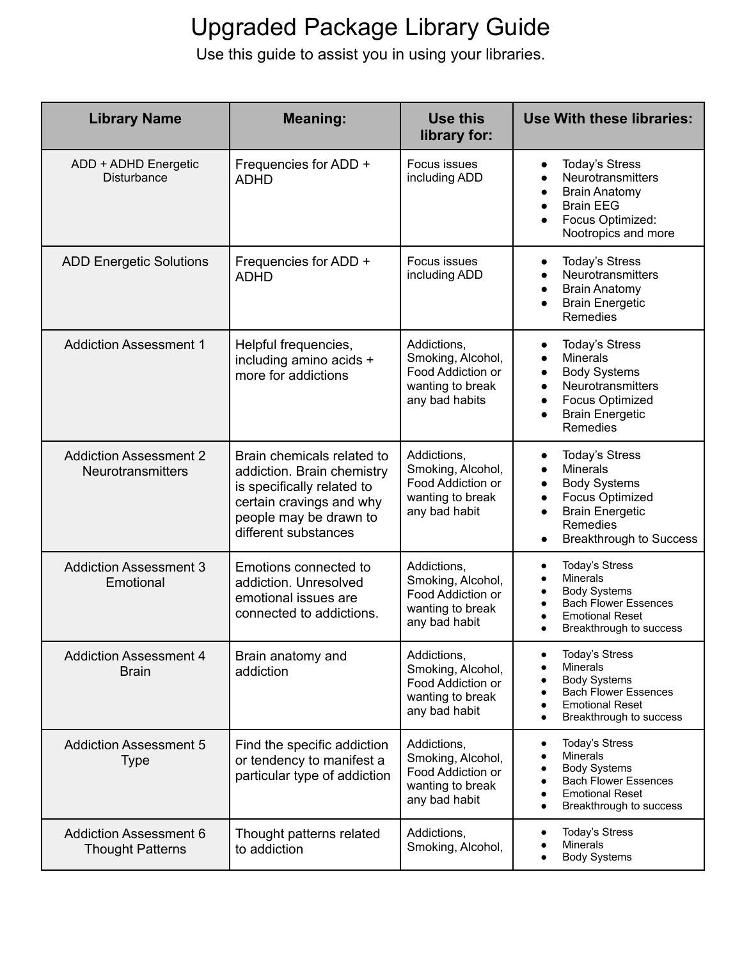| <b>Library Name</b>                                       | <b>Meaning:</b>                                                                                                                                                      | Use this<br>library for:                                                                    | Use With these libraries:                                                                                                                                                                                |
|-----------------------------------------------------------|----------------------------------------------------------------------------------------------------------------------------------------------------------------------|---------------------------------------------------------------------------------------------|----------------------------------------------------------------------------------------------------------------------------------------------------------------------------------------------------------|
| ADD + ADHD Energetic<br>Disturbance                       | Frequencies for ADD +<br><b>ADHD</b>                                                                                                                                 | Focus issues<br>including ADD                                                               | <b>Today's Stress</b><br>$\bullet$<br>Neurotransmitters<br><b>Brain Anatomy</b><br><b>Brain EEG</b><br>$\bullet$<br>Focus Optimized:<br>Nootropics and more                                              |
| <b>ADD Energetic Solutions</b>                            | Frequencies for ADD +<br><b>ADHD</b>                                                                                                                                 | Focus issues<br>including ADD                                                               | <b>Today's Stress</b><br>$\bullet$<br>Neurotransmitters<br><b>Brain Anatomy</b><br><b>Brain Energetic</b><br><b>Remedies</b>                                                                             |
| <b>Addiction Assessment 1</b>                             | Helpful frequencies,<br>including amino acids +<br>more for addictions                                                                                               | Addictions.<br>Smoking, Alcohol,<br>Food Addiction or<br>wanting to break<br>any bad habits | <b>Today's Stress</b><br><b>Minerals</b><br>$\bullet$<br><b>Body Systems</b><br>$\bullet$<br>Neurotransmitters<br>Focus Optimized<br>$\bullet$<br><b>Brain Energetic</b><br>$\bullet$<br><b>Remedies</b> |
| <b>Addiction Assessment 2</b><br><b>Neurotransmitters</b> | Brain chemicals related to<br>addiction. Brain chemistry<br>is specifically related to<br>certain cravings and why<br>people may be drawn to<br>different substances | Addictions,<br>Smoking, Alcohol,<br>Food Addiction or<br>wanting to break<br>any bad habit  | <b>Today's Stress</b><br>$\bullet$<br><b>Minerals</b><br><b>Body Systems</b><br>Focus Optimized<br><b>Brain Energetic</b><br>Remedies<br><b>Breakthrough to Success</b><br>$\bullet$                     |
| <b>Addiction Assessment 3</b><br>Emotional                | Emotions connected to<br>addiction. Unresolved<br>emotional issues are<br>connected to addictions.                                                                   | Addictions,<br>Smoking, Alcohol,<br>Food Addiction or<br>wanting to break<br>any bad habit  | <b>Today's Stress</b><br>$\bullet$<br>Minerals<br><b>Body Systems</b><br><b>Bach Flower Essences</b><br><b>Emotional Reset</b><br>Breakthrough to success                                                |
| <b>Addiction Assessment 4</b><br><b>Brain</b>             | Brain anatomy and<br>addiction                                                                                                                                       | Addictions,<br>Smoking, Alcohol,<br>Food Addiction or<br>wanting to break<br>any bad habit  | <b>Today's Stress</b><br><b>Minerals</b><br><b>Body Systems</b><br><b>Bach Flower Essences</b><br><b>Emotional Reset</b><br>Breakthrough to success                                                      |
| <b>Addiction Assessment 5</b><br><b>Type</b>              | Find the specific addiction<br>or tendency to manifest a<br>particular type of addiction                                                                             | Addictions,<br>Smoking, Alcohol,<br>Food Addiction or<br>wanting to break<br>any bad habit  | <b>Today's Stress</b><br><b>Minerals</b><br><b>Body Systems</b><br><b>Bach Flower Essences</b><br><b>Emotional Reset</b><br>Breakthrough to success                                                      |
| <b>Addiction Assessment 6</b><br><b>Thought Patterns</b>  | Thought patterns related<br>to addiction                                                                                                                             | Addictions,<br>Smoking, Alcohol,                                                            | <b>Today's Stress</b><br><b>Minerals</b><br><b>Body Systems</b>                                                                                                                                          |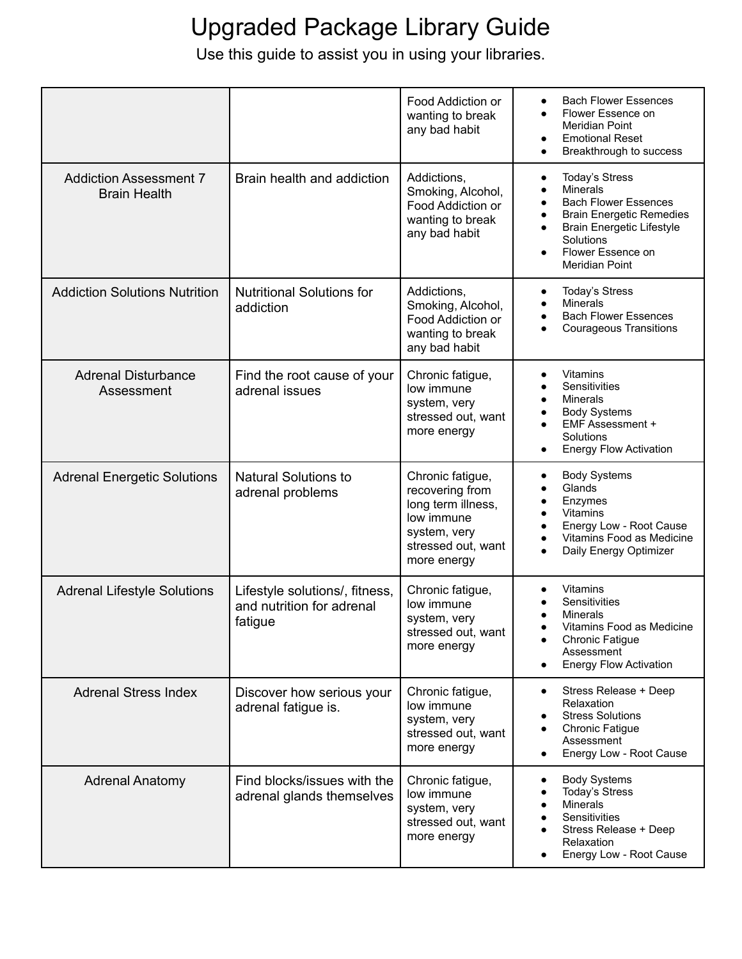|                                                      |                                                                        | Food Addiction or<br>wanting to break<br>any bad habit                                                                       | <b>Bach Flower Essences</b><br>$\bullet$<br>Flower Essence on<br>$\bullet$<br><b>Meridian Point</b><br><b>Emotional Reset</b><br>$\bullet$<br>Breakthrough to success<br>$\bullet$                                                |
|------------------------------------------------------|------------------------------------------------------------------------|------------------------------------------------------------------------------------------------------------------------------|-----------------------------------------------------------------------------------------------------------------------------------------------------------------------------------------------------------------------------------|
| <b>Addiction Assessment 7</b><br><b>Brain Health</b> | Brain health and addiction                                             | Addictions,<br>Smoking, Alcohol,<br>Food Addiction or<br>wanting to break<br>any bad habit                                   | <b>Today's Stress</b><br><b>Minerals</b><br>$\bullet$<br><b>Bach Flower Essences</b><br>$\bullet$<br><b>Brain Energetic Remedies</b><br>٠<br><b>Brain Energetic Lifestyle</b><br>Solutions<br>Flower Essence on<br>Meridian Point |
| <b>Addiction Solutions Nutrition</b>                 | <b>Nutritional Solutions for</b><br>addiction                          | Addictions,<br>Smoking, Alcohol,<br>Food Addiction or<br>wanting to break<br>any bad habit                                   | <b>Today's Stress</b><br>$\bullet$<br>Minerals<br><b>Bach Flower Essences</b><br><b>Courageous Transitions</b>                                                                                                                    |
| <b>Adrenal Disturbance</b><br>Assessment             | Find the root cause of your<br>adrenal issues                          | Chronic fatigue,<br>low immune<br>system, very<br>stressed out, want<br>more energy                                          | Vitamins<br>$\bullet$<br>Sensitivities<br>$\bullet$<br>Minerals<br>$\bullet$<br><b>Body Systems</b><br>EMF Assessment +<br>Solutions<br><b>Energy Flow Activation</b><br>٠                                                        |
| <b>Adrenal Energetic Solutions</b>                   | <b>Natural Solutions to</b><br>adrenal problems                        | Chronic fatigue,<br>recovering from<br>long term illness,<br>low immune<br>system, very<br>stressed out, want<br>more energy | <b>Body Systems</b><br>٠<br>Glands<br>Enzymes<br>$\bullet$<br>Vitamins<br>Energy Low - Root Cause<br>Vitamins Food as Medicine<br>Daily Energy Optimizer<br>$\bullet$                                                             |
| <b>Adrenal Lifestyle Solutions</b>                   | Lifestyle solutions/, fitness,<br>and nutrition for adrenal<br>fatigue | Chronic fatigue,<br>low immune<br>system, very<br>stressed out, want<br>more energy                                          | Vitamins<br>Sensitivities<br><b>Minerals</b><br>Vitamins Food as Medicine<br><b>Chronic Fatigue</b><br>$\bullet$<br>Assessment<br><b>Energy Flow Activation</b><br>٠                                                              |
| <b>Adrenal Stress Index</b>                          | Discover how serious your<br>adrenal fatigue is.                       | Chronic fatigue,<br>low immune<br>system, very<br>stressed out, want<br>more energy                                          | Stress Release + Deep<br>$\bullet$<br>Relaxation<br><b>Stress Solutions</b><br>Chronic Fatigue<br>Assessment<br>Energy Low - Root Cause<br>$\bullet$                                                                              |
| <b>Adrenal Anatomy</b>                               | Find blocks/issues with the<br>adrenal glands themselves               | Chronic fatigue,<br>low immune<br>system, very<br>stressed out, want<br>more energy                                          | <b>Body Systems</b><br>$\bullet$<br>Today's Stress<br>Minerals<br>Sensitivities<br>Stress Release + Deep<br>Relaxation<br>Energy Low - Root Cause                                                                                 |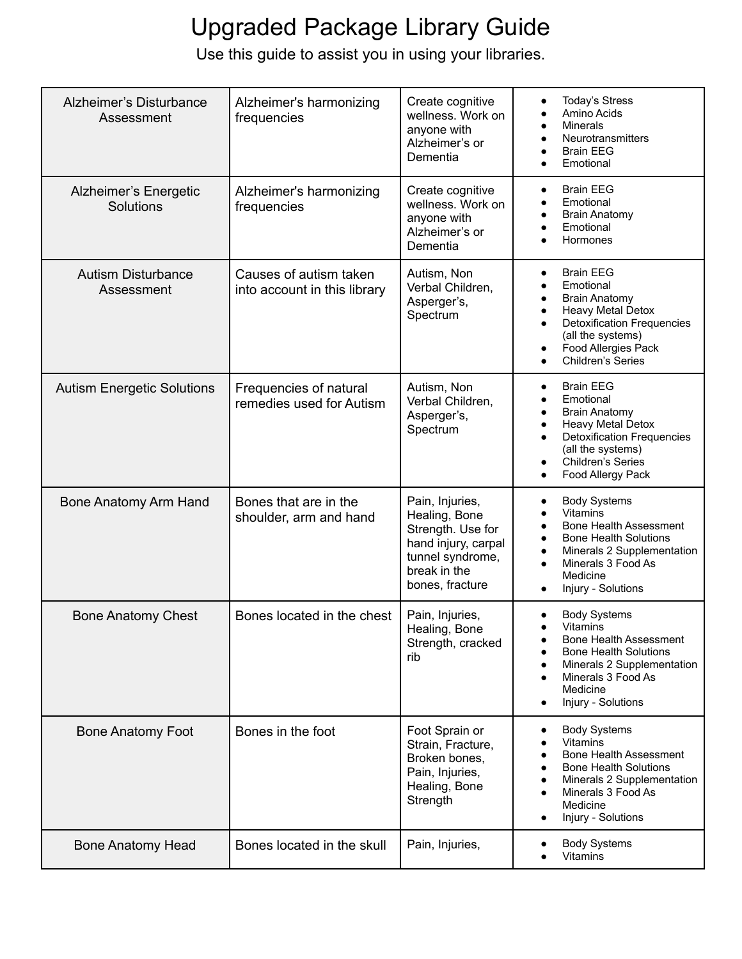| Alzheimer's Disturbance<br>Assessment   | Alzheimer's harmonizing<br>frequencies                 | Create cognitive<br>wellness. Work on<br>anyone with<br>Alzheimer's or<br>Dementia                                                  | <b>Today's Stress</b><br>$\bullet$<br>Amino Acids<br><b>Minerals</b><br>$\bullet$<br>Neurotransmitters<br>$\bullet$<br><b>Brain EEG</b><br>$\bullet$<br>Emotional<br>$\bullet$                                                                                              |
|-----------------------------------------|--------------------------------------------------------|-------------------------------------------------------------------------------------------------------------------------------------|-----------------------------------------------------------------------------------------------------------------------------------------------------------------------------------------------------------------------------------------------------------------------------|
| Alzheimer's Energetic<br>Solutions      | Alzheimer's harmonizing<br>frequencies                 | Create cognitive<br>wellness. Work on<br>anyone with<br>Alzheimer's or<br>Dementia                                                  | <b>Brain EEG</b><br>$\bullet$<br>Emotional<br>٠<br><b>Brain Anatomy</b><br>$\bullet$<br>Emotional<br>$\bullet$<br>Hormones<br>$\bullet$                                                                                                                                     |
| <b>Autism Disturbance</b><br>Assessment | Causes of autism taken<br>into account in this library | Autism, Non<br>Verbal Children,<br>Asperger's,<br>Spectrum                                                                          | <b>Brain EEG</b><br>$\bullet$<br>Emotional<br>$\bullet$<br><b>Brain Anatomy</b><br>$\bullet$<br>Heavy Metal Detox<br>$\bullet$<br><b>Detoxification Frequencies</b><br>$\bullet$<br>(all the systems)<br>Food Allergies Pack<br>$\bullet$<br>Children's Series<br>$\bullet$ |
| <b>Autism Energetic Solutions</b>       | Frequencies of natural<br>remedies used for Autism     | Autism, Non<br>Verbal Children,<br>Asperger's,<br>Spectrum                                                                          | <b>Brain EEG</b><br>$\bullet$<br>Emotional<br>$\bullet$<br><b>Brain Anatomy</b><br>٠<br>Heavy Metal Detox<br>$\bullet$<br><b>Detoxification Frequencies</b><br>$\bullet$<br>(all the systems)<br>Children's Series<br>Food Allergy Pack<br>$\bullet$                        |
| Bone Anatomy Arm Hand                   | Bones that are in the<br>shoulder, arm and hand        | Pain, Injuries,<br>Healing, Bone<br>Strength. Use for<br>hand injury, carpal<br>tunnel syndrome,<br>break in the<br>bones, fracture | <b>Body Systems</b><br>٠<br>Vitamins<br><b>Bone Health Assessment</b><br>$\bullet$<br><b>Bone Health Solutions</b><br>$\bullet$<br>Minerals 2 Supplementation<br>$\bullet$<br>Minerals 3 Food As<br>$\bullet$<br>Medicine<br>Injury - Solutions<br>$\bullet$                |
| <b>Bone Anatomy Chest</b>               | Bones located in the chest                             | Pain, Injuries,<br>Healing, Bone<br>Strength, cracked<br>rib                                                                        | <b>Body Systems</b><br>$\bullet$<br>Vitamins<br><b>Bone Health Assessment</b><br>$\bullet$<br><b>Bone Health Solutions</b><br>Minerals 2 Supplementation<br>$\bullet$<br>Minerals 3 Food As<br>$\bullet$<br>Medicine<br>Injury - Solutions<br>$\bullet$                     |
| <b>Bone Anatomy Foot</b>                | Bones in the foot                                      | Foot Sprain or<br>Strain, Fracture,<br>Broken bones,<br>Pain, Injuries,<br>Healing, Bone<br>Strength                                | <b>Body Systems</b><br>$\bullet$<br><b>Vitamins</b><br>$\bullet$<br><b>Bone Health Assessment</b><br>$\bullet$<br><b>Bone Health Solutions</b><br>Minerals 2 Supplementation<br>$\bullet$<br>Minerals 3 Food As<br>$\bullet$<br>Medicine<br>Injury - Solutions<br>$\bullet$ |
| <b>Bone Anatomy Head</b>                | Bones located in the skull                             | Pain, Injuries,                                                                                                                     | <b>Body Systems</b><br>Vitamins                                                                                                                                                                                                                                             |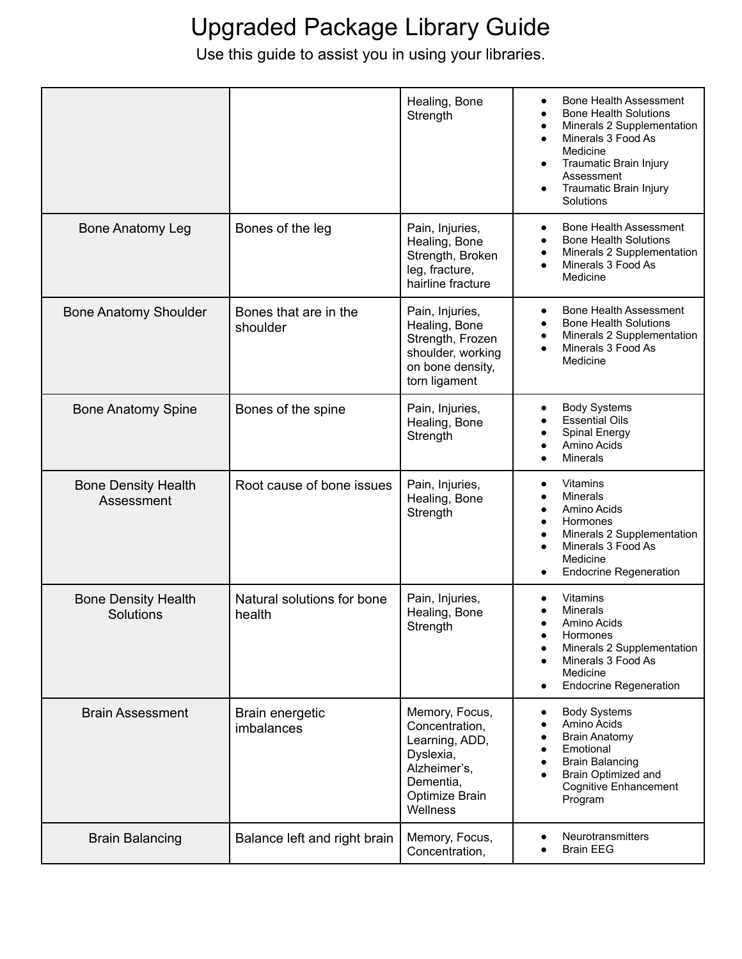|                                          |                                      | Healing, Bone<br>Strength                                                                                                  | Bone Health Assessment<br>$\bullet$<br><b>Bone Health Solutions</b><br>$\bullet$<br>Minerals 2 Supplementation<br>$\bullet$<br>Minerals 3 Food As<br>$\bullet$<br>Medicine<br><b>Traumatic Brain Injury</b><br>$\bullet$<br>Assessment<br>Traumatic Brain Injury<br>$\bullet$<br>Solutions |
|------------------------------------------|--------------------------------------|----------------------------------------------------------------------------------------------------------------------------|--------------------------------------------------------------------------------------------------------------------------------------------------------------------------------------------------------------------------------------------------------------------------------------------|
| <b>Bone Anatomy Leg</b>                  | Bones of the leg                     | Pain, Injuries,<br>Healing, Bone<br>Strength, Broken<br>leg, fracture,<br>hairline fracture                                | <b>Bone Health Assessment</b><br>$\bullet$<br><b>Bone Health Solutions</b><br>$\bullet$<br>Minerals 2 Supplementation<br>$\bullet$<br>Minerals 3 Food As<br>$\bullet$<br>Medicine                                                                                                          |
| <b>Bone Anatomy Shoulder</b>             | Bones that are in the<br>shoulder    | Pain, Injuries,<br>Healing, Bone<br>Strength, Frozen<br>shoulder, working<br>on bone density,<br>torn ligament             | <b>Bone Health Assessment</b><br><b>Bone Health Solutions</b><br>Minerals 2 Supplementation<br>$\bullet$<br>Minerals 3 Food As<br>$\bullet$<br>Medicine                                                                                                                                    |
| <b>Bone Anatomy Spine</b>                | Bones of the spine                   | Pain, Injuries,<br>Healing, Bone<br>Strength                                                                               | <b>Body Systems</b><br>$\bullet$<br><b>Essential Oils</b><br><b>Spinal Energy</b><br>$\bullet$<br>Amino Acids<br>Minerals<br>$\bullet$                                                                                                                                                     |
| <b>Bone Density Health</b><br>Assessment | Root cause of bone issues            | Pain, Injuries,<br>Healing, Bone<br>Strength                                                                               | Vitamins<br>$\bullet$<br><b>Minerals</b><br>$\bullet$<br>Amino Acids<br>$\bullet$<br>Hormones<br>$\bullet$<br>Minerals 2 Supplementation<br>$\bullet$<br>Minerals 3 Food As<br>$\bullet$<br>Medicine<br><b>Endocrine Regeneration</b><br>$\bullet$                                         |
| <b>Bone Density Health</b><br>Solutions  | Natural solutions for bone<br>health | Pain, Injuries,<br>Healing, Bone<br>Strength                                                                               | Vitamins<br><b>Minerals</b><br>Amino Acids<br>Hormones<br>$\bullet$<br>Minerals 2 Supplementation<br>Minerals 3 Food As<br>$\bullet$<br>Medicine<br><b>Endocrine Regeneration</b><br>$\bullet$                                                                                             |
| <b>Brain Assessment</b>                  | Brain energetic<br>imbalances        | Memory, Focus,<br>Concentration,<br>Learning, ADD,<br>Dyslexia,<br>Alzheimer's,<br>Dementia,<br>Optimize Brain<br>Wellness | <b>Body Systems</b><br>٠<br>Amino Acids<br><b>Brain Anatomy</b><br>Emotional<br><b>Brain Balancing</b><br>Brain Optimized and<br><b>Cognitive Enhancement</b><br>Program                                                                                                                   |
| <b>Brain Balancing</b>                   | Balance left and right brain         | Memory, Focus,<br>Concentration,                                                                                           | <b>Neurotransmitters</b><br>$\bullet$<br><b>Brain EEG</b><br>٠                                                                                                                                                                                                                             |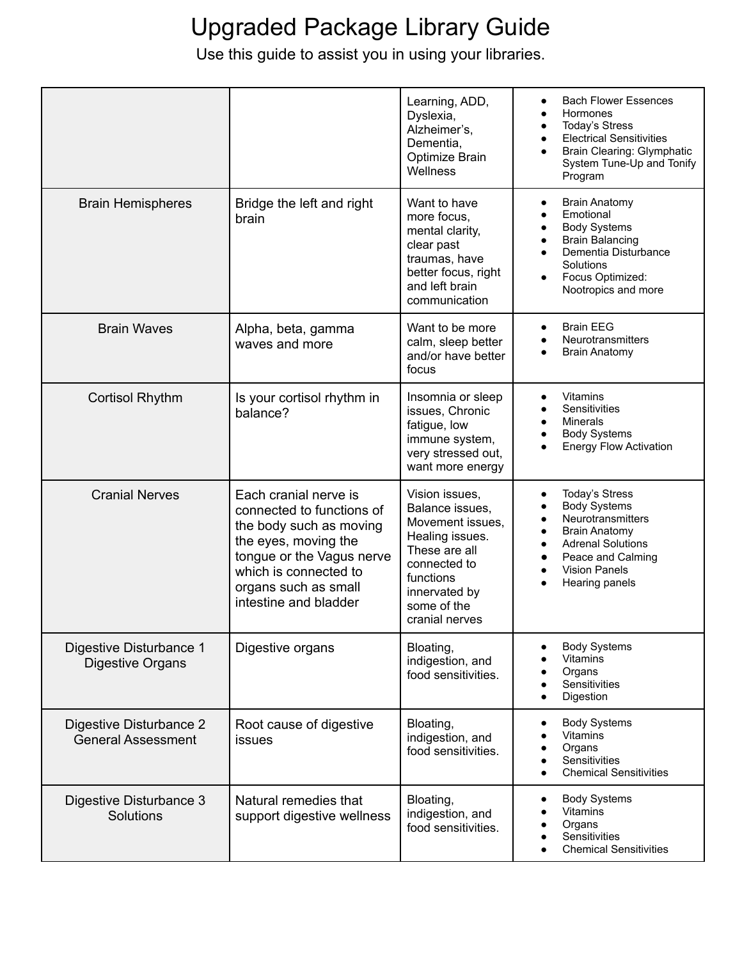|                                                      |                                                                                                                                                                                                              | Learning, ADD,<br>Dyslexia,<br>Alzheimer's,<br>Dementia,<br>Optimize Brain<br>Wellness                                                                                   | <b>Bach Flower Essences</b><br>$\bullet$<br>Hormones<br>Today's Stress<br><b>Electrical Sensitivities</b><br>Brain Clearing: Glymphatic<br>System Tune-Up and Tonify<br>Program                                                          |
|------------------------------------------------------|--------------------------------------------------------------------------------------------------------------------------------------------------------------------------------------------------------------|--------------------------------------------------------------------------------------------------------------------------------------------------------------------------|------------------------------------------------------------------------------------------------------------------------------------------------------------------------------------------------------------------------------------------|
| <b>Brain Hemispheres</b>                             | Bridge the left and right<br>brain                                                                                                                                                                           | Want to have<br>more focus,<br>mental clarity,<br>clear past<br>traumas, have<br>better focus, right<br>and left brain<br>communication                                  | <b>Brain Anatomy</b><br>٠<br>Emotional<br><b>Body Systems</b><br><b>Brain Balancing</b><br>Dementia Disturbance<br>Solutions<br>Focus Optimized:<br>Nootropics and more                                                                  |
| <b>Brain Waves</b>                                   | Alpha, beta, gamma<br>waves and more                                                                                                                                                                         | Want to be more<br>calm, sleep better<br>and/or have better<br>focus                                                                                                     | <b>Brain EEG</b><br>$\bullet$<br>Neurotransmitters<br><b>Brain Anatomy</b>                                                                                                                                                               |
| <b>Cortisol Rhythm</b>                               | Is your cortisol rhythm in<br>balance?                                                                                                                                                                       | Insomnia or sleep<br>issues, Chronic<br>fatigue, low<br>immune system,<br>very stressed out,<br>want more energy                                                         | Vitamins<br>٠<br>Sensitivities<br>Minerals<br><b>Body Systems</b><br><b>Energy Flow Activation</b>                                                                                                                                       |
| <b>Cranial Nerves</b>                                | Each cranial nerve is<br>connected to functions of<br>the body such as moving<br>the eyes, moving the<br>tongue or the Vagus nerve<br>which is connected to<br>organs such as small<br>intestine and bladder | Vision issues,<br>Balance issues,<br>Movement issues,<br>Healing issues.<br>These are all<br>connected to<br>functions<br>innervated by<br>some of the<br>cranial nerves | <b>Today's Stress</b><br>$\bullet$<br><b>Body Systems</b><br>Neurotransmitters<br><b>Brain Anatomy</b><br>$\bullet$<br><b>Adrenal Solutions</b><br>$\bullet$<br>Peace and Calming<br><b>Vision Panels</b><br>$\bullet$<br>Hearing panels |
| Digestive Disturbance 1<br>Digestive Organs          | Digestive organs                                                                                                                                                                                             | Bloating,<br>indigestion, and<br>food sensitivities.                                                                                                                     | <b>Body Systems</b><br>٠<br><b>Vitamins</b><br>Organs<br>Sensitivities<br>Digestion                                                                                                                                                      |
| Digestive Disturbance 2<br><b>General Assessment</b> | Root cause of digestive<br><b>issues</b>                                                                                                                                                                     | Bloating,<br>indigestion, and<br>food sensitivities.                                                                                                                     | <b>Body Systems</b><br>٠<br>Vitamins<br>Organs<br>Sensitivities<br><b>Chemical Sensitivities</b>                                                                                                                                         |
| Digestive Disturbance 3<br>Solutions                 | Natural remedies that<br>support digestive wellness                                                                                                                                                          | Bloating,<br>indigestion, and<br>food sensitivities.                                                                                                                     | <b>Body Systems</b><br>Vitamins<br>Organs<br>Sensitivities<br><b>Chemical Sensitivities</b>                                                                                                                                              |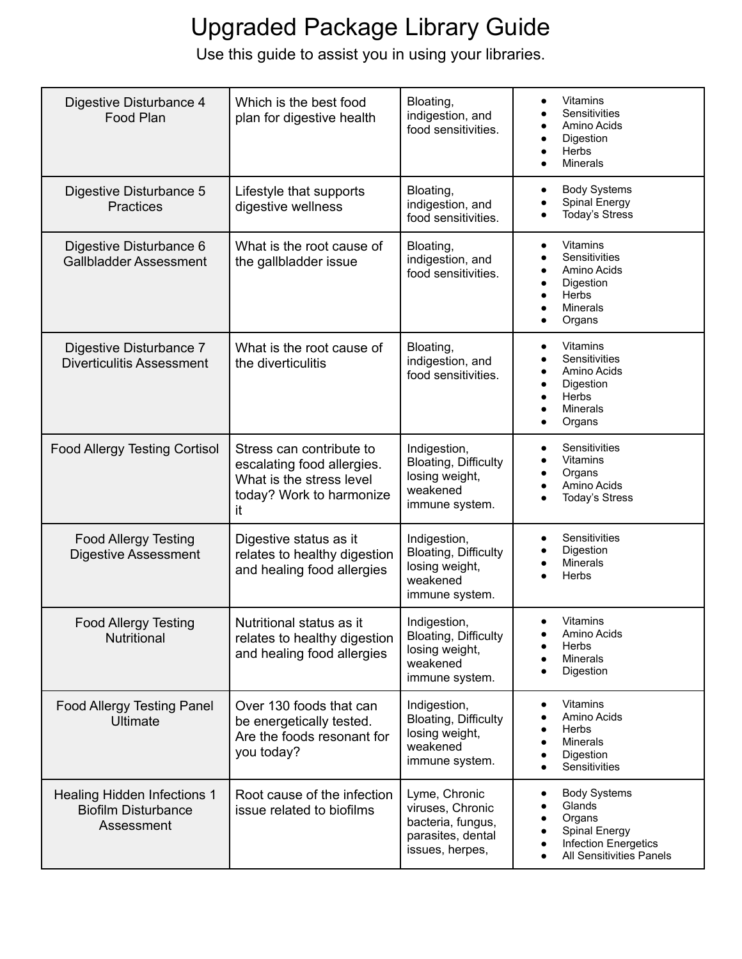| Digestive Disturbance 4                                                 | Which is the best food                                                                                               | Bloating,                                                                                      | Vitamins<br>$\bullet$<br>Sensitivities                                                                                      |
|-------------------------------------------------------------------------|----------------------------------------------------------------------------------------------------------------------|------------------------------------------------------------------------------------------------|-----------------------------------------------------------------------------------------------------------------------------|
| Food Plan                                                               | plan for digestive health                                                                                            | indigestion, and<br>food sensitivities.                                                        | Amino Acids<br>Digestion<br>Herbs<br>Minerals                                                                               |
| Digestive Disturbance 5<br><b>Practices</b>                             | Lifestyle that supports<br>digestive wellness                                                                        | Bloating,<br>indigestion, and<br>food sensitivities.                                           | <b>Body Systems</b><br>Spinal Energy<br><b>Today's Stress</b>                                                               |
| Digestive Disturbance 6<br><b>Gallbladder Assessment</b>                | What is the root cause of<br>the gallbladder issue                                                                   | Bloating,<br>indigestion, and<br>food sensitivities.                                           | Vitamins<br>$\bullet$<br>Sensitivities<br>Amino Acids<br>Digestion<br>Herbs<br>$\bullet$<br>Minerals<br>$\bullet$<br>Organs |
| Digestive Disturbance 7<br><b>Diverticulitis Assessment</b>             | What is the root cause of<br>the diverticulitis                                                                      | Bloating,<br>indigestion, and<br>food sensitivities.                                           | Vitamins<br>$\bullet$<br>Sensitivities<br>Amino Acids<br>Digestion<br>$\bullet$<br>Herbs<br>٠<br>Minerals<br>Organs         |
| <b>Food Allergy Testing Cortisol</b>                                    | Stress can contribute to<br>escalating food allergies.<br>What is the stress level<br>today? Work to harmonize<br>it | Indigestion,<br>Bloating, Difficulty<br>losing weight,<br>weakened<br>immune system.           | Sensitivities<br>$\bullet$<br>Vitamins<br>Organs<br>$\bullet$<br>Amino Acids<br>$\bullet$<br><b>Today's Stress</b>          |
| <b>Food Allergy Testing</b><br><b>Digestive Assessment</b>              | Digestive status as it<br>relates to healthy digestion<br>and healing food allergies                                 | Indigestion,<br>Bloating, Difficulty<br>losing weight,<br>weakened<br>immune system.           | Sensitivities<br>$\bullet$<br>Digestion<br>Minerals<br>$\bullet$<br>Herbs                                                   |
| <b>Food Allergy Testing</b><br>Nutritional                              | Nutritional status as it<br>relates to healthy digestion<br>and healing food allergies                               | Indigestion,<br><b>Bloating, Difficulty</b><br>losing weight,<br>weakened<br>immune system.    | <b>Vitamins</b><br>$\bullet$<br>Amino Acids<br><b>Herbs</b><br>Minerals<br>Digestion                                        |
| <b>Food Allergy Testing Panel</b><br><b>Ultimate</b>                    | Over 130 foods that can<br>be energetically tested.<br>Are the foods resonant for<br>you today?                      | Indigestion,<br>Bloating, Difficulty<br>losing weight,<br>weakened<br>immune system.           | Vitamins<br>$\bullet$<br>Amino Acids<br>Herbs<br>Minerals<br>Digestion<br>Sensitivities                                     |
| Healing Hidden Infections 1<br><b>Biofilm Disturbance</b><br>Assessment | Root cause of the infection<br>issue related to biofilms                                                             | Lyme, Chronic<br>viruses, Chronic<br>bacteria, fungus,<br>parasites, dental<br>issues, herpes, | <b>Body Systems</b><br>Glands<br>Organs<br>Spinal Energy<br>Infection Energetics<br>All Sensitivities Panels                |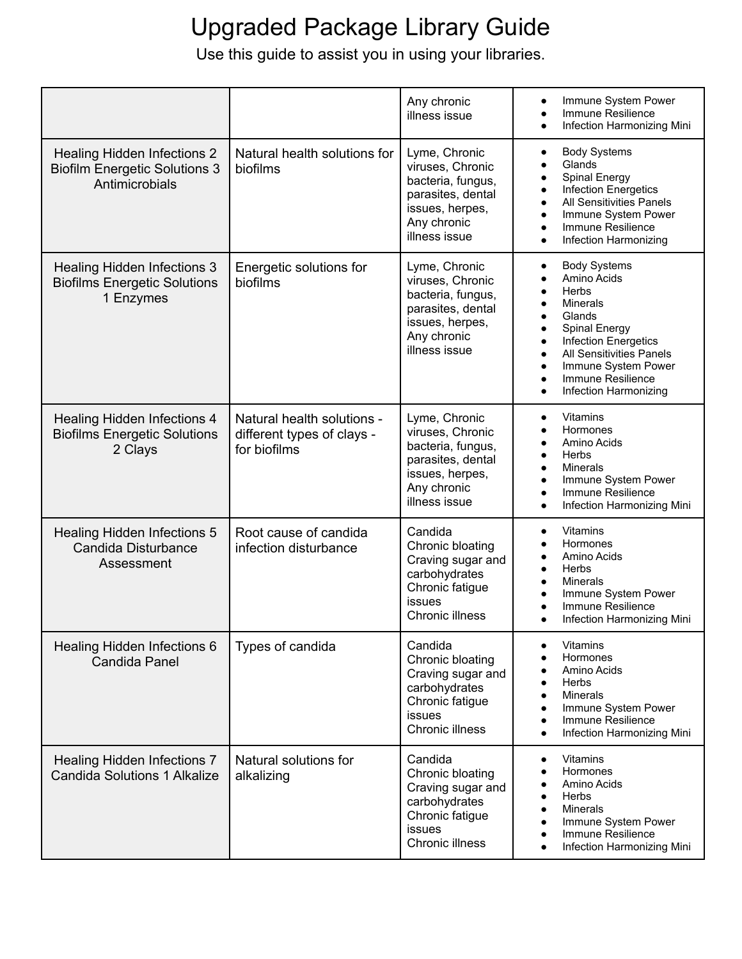|                                                                                              |                                                                          | Any chronic<br>illness issue                                                                                                   | Immune System Power<br>$\bullet$<br>Immune Resilience<br>$\bullet$<br>Infection Harmonizing Mini                                                                                                                                                                                                                    |
|----------------------------------------------------------------------------------------------|--------------------------------------------------------------------------|--------------------------------------------------------------------------------------------------------------------------------|---------------------------------------------------------------------------------------------------------------------------------------------------------------------------------------------------------------------------------------------------------------------------------------------------------------------|
| <b>Healing Hidden Infections 2</b><br><b>Biofilm Energetic Solutions 3</b><br>Antimicrobials | Natural health solutions for<br>biofilms                                 | Lyme, Chronic<br>viruses, Chronic<br>bacteria, fungus,<br>parasites, dental<br>issues, herpes,<br>Any chronic<br>illness issue | <b>Body Systems</b><br>$\bullet$<br>Glands<br>$\bullet$<br>Spinal Energy<br>$\bullet$<br>Infection Energetics<br>All Sensitivities Panels<br>Immune System Power<br>Immune Resilience<br>$\bullet$<br>Infection Harmonizing<br>$\bullet$                                                                            |
| <b>Healing Hidden Infections 3</b><br><b>Biofilms Energetic Solutions</b><br>1 Enzymes       | Energetic solutions for<br>biofilms                                      | Lyme, Chronic<br>viruses, Chronic<br>bacteria, fungus,<br>parasites, dental<br>issues, herpes,<br>Any chronic<br>illness issue | <b>Body Systems</b><br>٠<br>Amino Acids<br>Herbs<br>$\bullet$<br><b>Minerals</b><br>Glands<br>Spinal Energy<br>$\bullet$<br><b>Infection Energetics</b><br>$\bullet$<br><b>All Sensitivities Panels</b><br>$\bullet$<br>Immune System Power<br>$\bullet$<br>Immune Resilience<br>$\bullet$<br>Infection Harmonizing |
| <b>Healing Hidden Infections 4</b><br><b>Biofilms Energetic Solutions</b><br>2 Clays         | Natural health solutions -<br>different types of clays -<br>for biofilms | Lyme, Chronic<br>viruses, Chronic<br>bacteria, fungus,<br>parasites, dental<br>issues, herpes,<br>Any chronic<br>illness issue | Vitamins<br>٠<br>Hormones<br>٠<br>Amino Acids<br>Herbs<br>$\bullet$<br>Minerals<br>$\bullet$<br>Immune System Power<br>Immune Resilience<br>$\bullet$<br>Infection Harmonizing Mini<br>$\bullet$                                                                                                                    |
| <b>Healing Hidden Infections 5</b><br>Candida Disturbance<br>Assessment                      | Root cause of candida<br>infection disturbance                           | Candida<br>Chronic bloating<br>Craving sugar and<br>carbohydrates<br>Chronic fatigue<br>issues<br>Chronic illness              | <b>Vitamins</b><br>Hormones<br>Amino Acids<br>Herbs<br>$\bullet$<br>Minerals<br>Immune System Power<br>Immune Resilience<br>Infection Harmonizing Mini                                                                                                                                                              |
| Healing Hidden Infections 6<br><b>Candida Panel</b>                                          | Types of candida                                                         | Candida<br>Chronic bloating<br>Craving sugar and<br>carbohydrates<br>Chronic fatigue<br>issues<br>Chronic illness              | <b>Vitamins</b><br>$\bullet$<br>Hormones<br>Amino Acids<br>Herbs<br>Minerals<br>Immune System Power<br>Immune Resilience<br>٠<br>Infection Harmonizing Mini                                                                                                                                                         |
| <b>Healing Hidden Infections 7</b><br><b>Candida Solutions 1 Alkalize</b>                    | Natural solutions for<br>alkalizing                                      | Candida<br>Chronic bloating<br>Craving sugar and<br>carbohydrates<br>Chronic fatigue<br>issues<br>Chronic illness              | <b>Vitamins</b><br>٠<br>Hormones<br>Amino Acids<br>Herbs<br>Minerals<br>Immune System Power<br>Immune Resilience<br>Infection Harmonizing Mini                                                                                                                                                                      |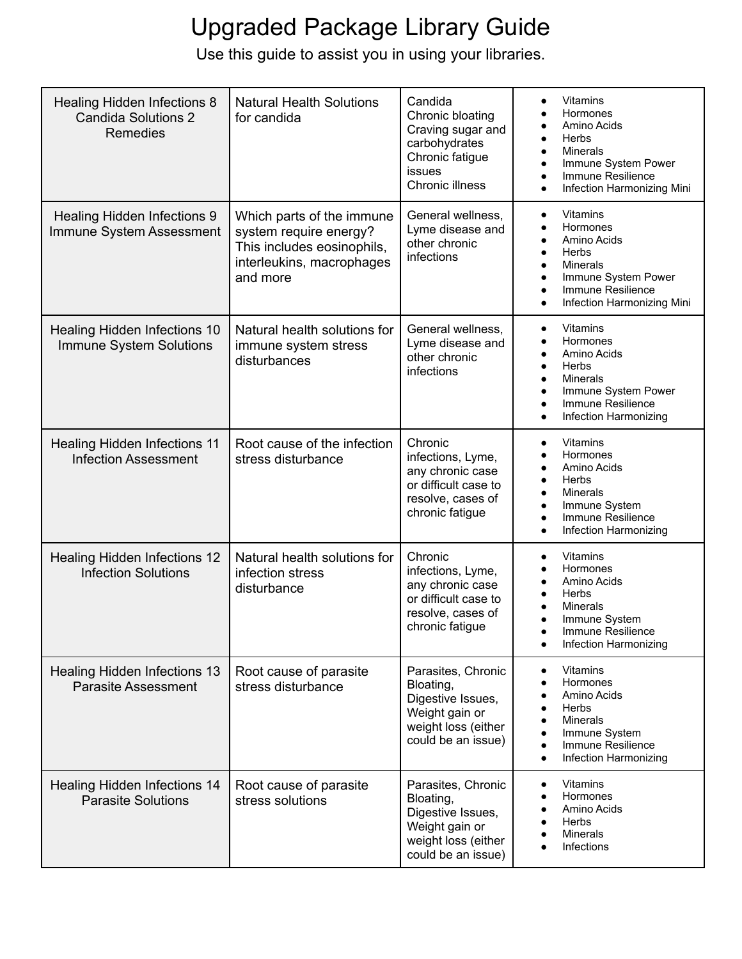| <b>Healing Hidden Infections 8</b><br><b>Candida Solutions 2</b><br>Remedies | <b>Natural Health Solutions</b><br>for candida                                                                             | Candida<br>Chronic bloating<br>Craving sugar and<br>carbohydrates<br>Chronic fatigue<br>issues<br>Chronic illness   | <b>Vitamins</b><br>٠<br>Hormones<br>Amino Acids<br><b>Herbs</b><br>$\bullet$<br>Minerals<br>$\bullet$<br>Immune System Power<br>$\bullet$<br>Immune Resilience<br>$\bullet$<br>Infection Harmonizing Mini<br>$\bullet$                     |
|------------------------------------------------------------------------------|----------------------------------------------------------------------------------------------------------------------------|---------------------------------------------------------------------------------------------------------------------|--------------------------------------------------------------------------------------------------------------------------------------------------------------------------------------------------------------------------------------------|
| <b>Healing Hidden Infections 9</b><br>Immune System Assessment               | Which parts of the immune<br>system require energy?<br>This includes eosinophils,<br>interleukins, macrophages<br>and more | General wellness,<br>Lyme disease and<br>other chronic<br>infections                                                | Vitamins<br>$\bullet$<br>Hormones<br>$\bullet$<br>Amino Acids<br>$\bullet$<br>Herbs<br>$\bullet$<br>Minerals<br>$\bullet$<br>Immune System Power<br>$\bullet$<br>Immune Resilience<br>$\bullet$<br>Infection Harmonizing Mini<br>$\bullet$ |
| Healing Hidden Infections 10<br>Immune System Solutions                      | Natural health solutions for<br>immune system stress<br>disturbances                                                       | General wellness,<br>Lyme disease and<br>other chronic<br>infections                                                | Vitamins<br>$\bullet$<br>Hormones<br>$\bullet$<br>Amino Acids<br>$\bullet$<br>Herbs<br>$\bullet$<br>Minerals<br>$\bullet$<br>Immune System Power<br>$\bullet$<br>Immune Resilience<br>$\bullet$<br>Infection Harmonizing<br>$\bullet$      |
| <b>Healing Hidden Infections 11</b><br><b>Infection Assessment</b>           | Root cause of the infection<br>stress disturbance                                                                          | Chronic<br>infections, Lyme,<br>any chronic case<br>or difficult case to<br>resolve, cases of<br>chronic fatigue    | Vitamins<br>$\bullet$<br>Hormones<br>$\bullet$<br>Amino Acids<br>Herbs<br>$\bullet$<br>Minerals<br>$\bullet$<br>Immune System<br>$\bullet$<br>Immune Resilience<br>$\bullet$<br>Infection Harmonizing<br>$\bullet$                         |
| <b>Healing Hidden Infections 12</b><br><b>Infection Solutions</b>            | Natural health solutions for<br>infection stress<br>disturbance                                                            | Chronic<br>infections, Lyme,<br>any chronic case<br>or difficult case to<br>resolve, cases of<br>chronic fatigue    | Vitamins<br>$\bullet$<br>Hormones<br>Amino Acids<br>$\bullet$<br>Herbs<br>$\bullet$<br>Minerals<br>Immune System<br>Immune Resilience<br>Infection Harmonizing                                                                             |
| <b>Healing Hidden Infections 13</b><br><b>Parasite Assessment</b>            | Root cause of parasite<br>stress disturbance                                                                               | Parasites, Chronic<br>Bloating,<br>Digestive Issues,<br>Weight gain or<br>weight loss (either<br>could be an issue) | Vitamins<br>$\bullet$<br>Hormones<br>$\bullet$<br>Amino Acids<br>٠<br>Herbs<br>$\bullet$<br><b>Minerals</b><br>Immune System<br>٠<br>Immune Resilience<br>$\bullet$<br>Infection Harmonizing<br>$\bullet$                                  |
| <b>Healing Hidden Infections 14</b><br><b>Parasite Solutions</b>             | Root cause of parasite<br>stress solutions                                                                                 | Parasites, Chronic<br>Bloating,<br>Digestive Issues,<br>Weight gain or<br>weight loss (either<br>could be an issue) | <b>Vitamins</b><br>٠<br>Hormones<br>Amino Acids<br>Herbs<br><b>Minerals</b><br>Infections                                                                                                                                                  |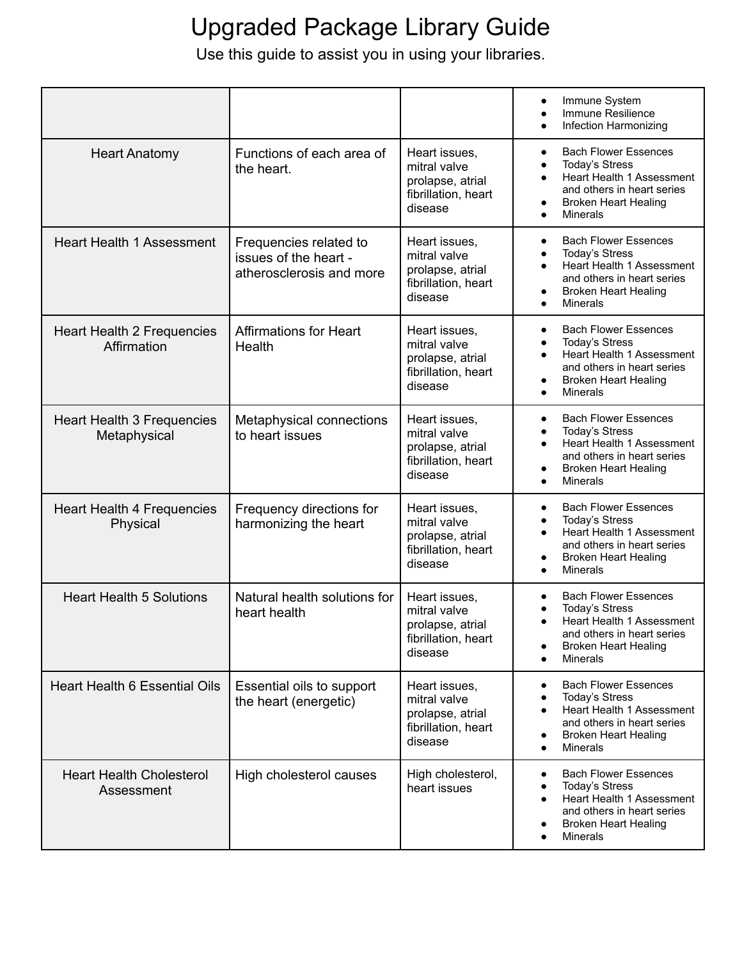|                                                   |                                                                             |                                                                                     | Immune System<br>$\bullet$<br>Immune Resilience<br>$\bullet$<br>Infection Harmonizing                                                                                                                                              |
|---------------------------------------------------|-----------------------------------------------------------------------------|-------------------------------------------------------------------------------------|------------------------------------------------------------------------------------------------------------------------------------------------------------------------------------------------------------------------------------|
| <b>Heart Anatomy</b>                              | Functions of each area of<br>the heart.                                     | Heart issues,<br>mitral valve<br>prolapse, atrial<br>fibrillation, heart<br>disease | <b>Bach Flower Essences</b><br>$\bullet$<br><b>Today's Stress</b><br>$\bullet$<br>Heart Health 1 Assessment<br>$\bullet$<br>and others in heart series<br><b>Broken Heart Healing</b><br>$\bullet$<br><b>Minerals</b><br>$\bullet$ |
| <b>Heart Health 1 Assessment</b>                  | Frequencies related to<br>issues of the heart -<br>atherosclerosis and more | Heart issues,<br>mitral valve<br>prolapse, atrial<br>fibrillation, heart<br>disease | <b>Bach Flower Essences</b><br>$\bullet$<br><b>Today's Stress</b><br>$\bullet$<br>Heart Health 1 Assessment<br>$\bullet$<br>and others in heart series<br><b>Broken Heart Healing</b><br>$\bullet$<br><b>Minerals</b><br>$\bullet$ |
| <b>Heart Health 2 Frequencies</b><br>Affirmation  | <b>Affirmations for Heart</b><br>Health                                     | Heart issues,<br>mitral valve<br>prolapse, atrial<br>fibrillation, heart<br>disease | <b>Bach Flower Essences</b><br>$\bullet$<br><b>Today's Stress</b><br>$\bullet$<br>Heart Health 1 Assessment<br>$\bullet$<br>and others in heart series<br><b>Broken Heart Healing</b><br>$\bullet$<br>Minerals<br>$\bullet$        |
| <b>Heart Health 3 Frequencies</b><br>Metaphysical | Metaphysical connections<br>to heart issues                                 | Heart issues,<br>mitral valve<br>prolapse, atrial<br>fibrillation, heart<br>disease | <b>Bach Flower Essences</b><br>$\bullet$<br><b>Today's Stress</b><br>$\bullet$<br>Heart Health 1 Assessment<br>$\bullet$<br>and others in heart series<br><b>Broken Heart Healing</b><br>$\bullet$<br>Minerals<br>$\bullet$        |
| <b>Heart Health 4 Frequencies</b><br>Physical     | Frequency directions for<br>harmonizing the heart                           | Heart issues,<br>mitral valve<br>prolapse, atrial<br>fibrillation, heart<br>disease | <b>Bach Flower Essences</b><br>$\bullet$<br><b>Today's Stress</b><br>$\bullet$<br>Heart Health 1 Assessment<br>$\bullet$<br>and others in heart series<br><b>Broken Heart Healing</b><br>$\bullet$<br>Minerals                     |
| <b>Heart Health 5 Solutions</b>                   | Natural health solutions for<br>heart health                                | Heart issues,<br>mitral valve<br>prolapse, atrial<br>fibrillation, heart<br>disease | <b>Bach Flower Essences</b><br><b>Today's Stress</b><br>Heart Health 1 Assessment<br>and others in heart series<br><b>Broken Heart Healing</b><br><b>Minerals</b><br>$\bullet$                                                     |
| Heart Health 6 Essential Oils                     | Essential oils to support<br>the heart (energetic)                          | Heart issues,<br>mitral valve<br>prolapse, atrial<br>fibrillation, heart<br>disease | <b>Bach Flower Essences</b><br><b>Today's Stress</b><br>Heart Health 1 Assessment<br>$\bullet$<br>and others in heart series<br><b>Broken Heart Healing</b><br>Minerals<br>$\bullet$                                               |
| <b>Heart Health Cholesterol</b><br>Assessment     | High cholesterol causes                                                     | High cholesterol,<br>heart issues                                                   | <b>Bach Flower Essences</b><br>٠<br><b>Today's Stress</b><br>٠<br>Heart Health 1 Assessment<br>and others in heart series<br><b>Broken Heart Healing</b><br>Minerals                                                               |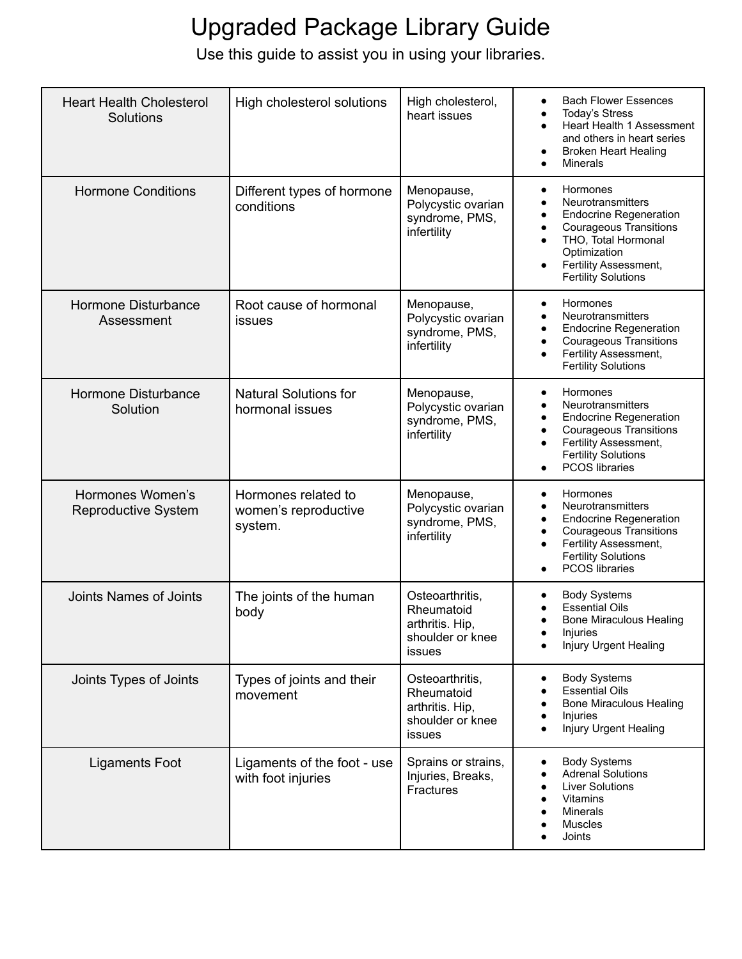| <b>Heart Health Cholesterol</b><br>Solutions | High cholesterol solutions                             | High cholesterol,<br>heart issues                                              | <b>Bach Flower Essences</b><br>$\bullet$<br><b>Today's Stress</b><br>$\bullet$<br>Heart Health 1 Assessment<br>and others in heart series<br><b>Broken Heart Healing</b><br>٠<br>Minerals<br>$\bullet$                                                              |
|----------------------------------------------|--------------------------------------------------------|--------------------------------------------------------------------------------|---------------------------------------------------------------------------------------------------------------------------------------------------------------------------------------------------------------------------------------------------------------------|
| <b>Hormone Conditions</b>                    | Different types of hormone<br>conditions               | Menopause,<br>Polycystic ovarian<br>syndrome, PMS,<br>infertility              | Hormones<br>$\bullet$<br>Neurotransmitters<br>$\bullet$<br><b>Endocrine Regeneration</b><br>٠<br><b>Courageous Transitions</b><br>$\bullet$<br>THO, Total Hormonal<br>$\bullet$<br>Optimization<br>Fertility Assessment,<br>$\bullet$<br><b>Fertility Solutions</b> |
| <b>Hormone Disturbance</b><br>Assessment     | Root cause of hormonal<br>issues                       | Menopause,<br>Polycystic ovarian<br>syndrome, PMS,<br>infertility              | Hormones<br>$\bullet$<br>Neurotransmitters<br>$\bullet$<br><b>Endocrine Regeneration</b><br>$\bullet$<br><b>Courageous Transitions</b><br>$\bullet$<br>Fertility Assessment,<br>$\bullet$<br><b>Fertility Solutions</b>                                             |
| <b>Hormone Disturbance</b><br>Solution       | <b>Natural Solutions for</b><br>hormonal issues        | Menopause,<br>Polycystic ovarian<br>syndrome, PMS,<br>infertility              | Hormones<br>$\bullet$<br>Neurotransmitters<br>$\bullet$<br><b>Endocrine Regeneration</b><br>$\bullet$<br><b>Courageous Transitions</b><br>$\bullet$<br>Fertility Assessment,<br>$\bullet$<br><b>Fertility Solutions</b><br><b>PCOS</b> libraries<br>$\bullet$       |
| Hormones Women's<br>Reproductive System      | Hormones related to<br>women's reproductive<br>system. | Menopause,<br>Polycystic ovarian<br>syndrome, PMS,<br>infertility              | Hormones<br>$\bullet$<br>Neurotransmitters<br><b>Endocrine Regeneration</b><br>٠<br><b>Courageous Transitions</b><br>$\bullet$<br>Fertility Assessment,<br>$\bullet$<br><b>Fertility Solutions</b><br>PCOS libraries<br>$\bullet$                                   |
| Joints Names of Joints                       | The joints of the human<br>body                        | Osteoarthritis,<br>Rheumatoid<br>arthritis. Hip,<br>shoulder or knee<br>issues | <b>Body Systems</b><br>٠<br><b>Essential Oils</b><br><b>Bone Miraculous Healing</b><br>Injuries<br>Injury Urgent Healing                                                                                                                                            |
| Joints Types of Joints                       | Types of joints and their<br>movement                  | Osteoarthritis,<br>Rheumatoid<br>arthritis. Hip,<br>shoulder or knee<br>issues | <b>Body Systems</b><br>$\bullet$<br><b>Essential Oils</b><br><b>Bone Miraculous Healing</b><br>Injuries<br>Injury Urgent Healing                                                                                                                                    |
| <b>Ligaments Foot</b>                        | Ligaments of the foot - use<br>with foot injuries      | Sprains or strains,<br>Injuries, Breaks,<br><b>Fractures</b>                   | <b>Body Systems</b><br>٠<br><b>Adrenal Solutions</b><br><b>Liver Solutions</b><br><b>Vitamins</b><br>$\bullet$<br><b>Minerals</b><br>Muscles<br>Joints                                                                                                              |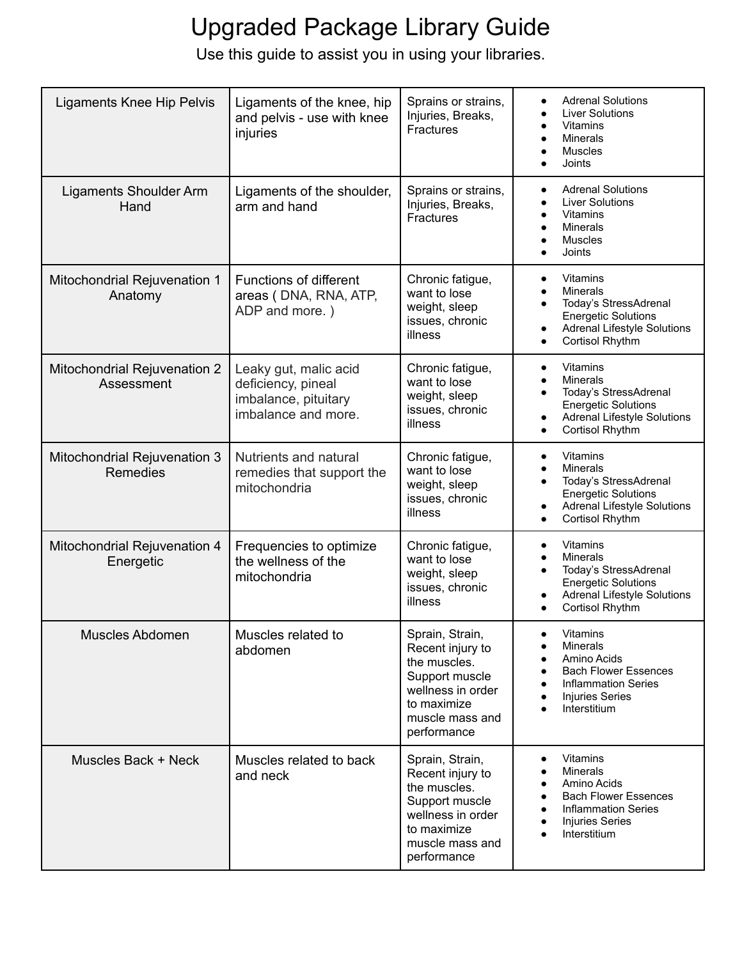| <b>Ligaments Knee Hip Pelvis</b>                | Ligaments of the knee, hip<br>and pelvis - use with knee<br>injuries                       | Sprains or strains,<br>Injuries, Breaks,<br>Fractures                                                                                       | <b>Adrenal Solutions</b><br>$\bullet$<br><b>Liver Solutions</b><br>$\bullet$<br><b>Vitamins</b><br>$\bullet$<br><b>Minerals</b><br>$\bullet$<br><b>Muscles</b><br>$\bullet$<br>Joints                                   |
|-------------------------------------------------|--------------------------------------------------------------------------------------------|---------------------------------------------------------------------------------------------------------------------------------------------|-------------------------------------------------------------------------------------------------------------------------------------------------------------------------------------------------------------------------|
| Ligaments Shoulder Arm<br>Hand                  | Ligaments of the shoulder,<br>arm and hand                                                 | Sprains or strains,<br>Injuries, Breaks,<br>Fractures                                                                                       | <b>Adrenal Solutions</b><br>$\bullet$<br><b>Liver Solutions</b><br>$\bullet$<br><b>Vitamins</b><br>$\bullet$<br>Minerals<br>$\bullet$<br><b>Muscles</b><br>$\bullet$<br>Joints                                          |
| Mitochondrial Rejuvenation 1<br>Anatomy         | Functions of different<br>areas (DNA, RNA, ATP,<br>ADP and more.)                          | Chronic fatigue,<br>want to lose<br>weight, sleep<br>issues, chronic<br>illness                                                             | Vitamins<br>$\bullet$<br>Minerals<br>$\bullet$<br>Today's StressAdrenal<br>$\bullet$<br><b>Energetic Solutions</b><br><b>Adrenal Lifestyle Solutions</b><br>$\bullet$<br>Cortisol Rhythm<br>$\bullet$                   |
| Mitochondrial Rejuvenation 2<br>Assessment      | Leaky gut, malic acid<br>deficiency, pineal<br>imbalance, pituitary<br>imbalance and more. | Chronic fatigue,<br>want to lose<br>weight, sleep<br>issues, chronic<br>illness                                                             | Vitamins<br>$\bullet$<br><b>Minerals</b><br>$\bullet$<br>Today's StressAdrenal<br>$\bullet$<br><b>Energetic Solutions</b><br><b>Adrenal Lifestyle Solutions</b><br>$\bullet$<br>Cortisol Rhythm<br>$\bullet$            |
| Mitochondrial Rejuvenation 3<br><b>Remedies</b> | Nutrients and natural<br>remedies that support the<br>mitochondria                         | Chronic fatigue,<br>want to lose<br>weight, sleep<br>issues, chronic<br>illness                                                             | <b>Vitamins</b><br>$\bullet$<br><b>Minerals</b><br>٠<br>Today's StressAdrenal<br><b>Energetic Solutions</b><br><b>Adrenal Lifestyle Solutions</b><br>٠<br>Cortisol Rhythm<br>$\bullet$                                  |
| Mitochondrial Rejuvenation 4<br>Energetic       | Frequencies to optimize<br>the wellness of the<br>mitochondria                             | Chronic fatigue,<br>want to lose<br>weight, sleep<br>issues, chronic<br>illness                                                             | <b>Vitamins</b><br>$\bullet$<br><b>Minerals</b><br>$\bullet$<br>Today's StressAdrenal<br>$\bullet$<br><b>Energetic Solutions</b><br><b>Adrenal Lifestyle Solutions</b><br>$\bullet$<br>Cortisol Rhythm                  |
| Muscles Abdomen                                 | Muscles related to<br>abdomen                                                              | Sprain, Strain,<br>Recent injury to<br>the muscles.<br>Support muscle<br>wellness in order<br>to maximize<br>muscle mass and<br>performance | <b>Vitamins</b><br>٠<br><b>Minerals</b><br>Amino Acids<br><b>Bach Flower Essences</b><br><b>Inflammation Series</b><br><b>Injuries Series</b><br>$\bullet$<br>Interstitium<br>$\bullet$                                 |
| Muscles Back + Neck                             | Muscles related to back<br>and neck                                                        | Sprain, Strain,<br>Recent injury to<br>the muscles.<br>Support muscle<br>wellness in order<br>to maximize<br>muscle mass and<br>performance | Vitamins<br>٠<br><b>Minerals</b><br>$\bullet$<br>Amino Acids<br>$\bullet$<br><b>Bach Flower Essences</b><br>$\bullet$<br><b>Inflammation Series</b><br><b>Injuries Series</b><br>$\bullet$<br>Interstitium<br>$\bullet$ |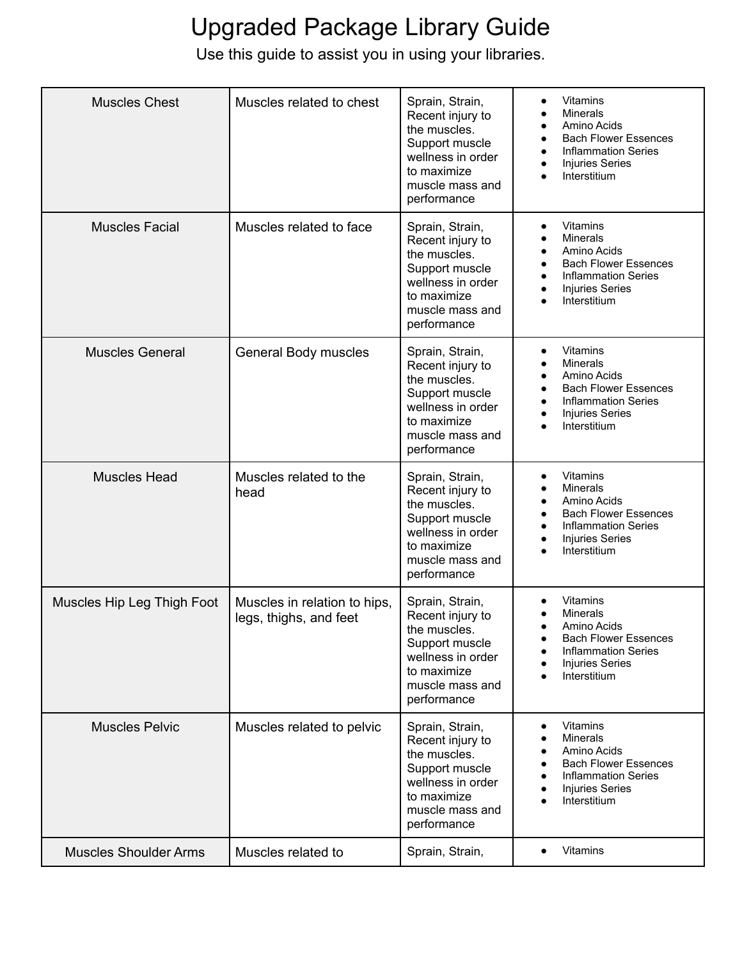| <b>Muscles Chest</b>         | Muscles related to chest                               | Sprain, Strain,<br>Recent injury to<br>the muscles.<br>Support muscle<br>wellness in order<br>to maximize<br>muscle mass and<br>performance | Vitamins<br>$\bullet$<br><b>Minerals</b><br>Amino Acids<br><b>Bach Flower Essences</b><br>$\bullet$<br><b>Inflammation Series</b><br><b>Injuries Series</b><br>Interstitium                     |
|------------------------------|--------------------------------------------------------|---------------------------------------------------------------------------------------------------------------------------------------------|-------------------------------------------------------------------------------------------------------------------------------------------------------------------------------------------------|
| <b>Muscles Facial</b>        | Muscles related to face                                | Sprain, Strain,<br>Recent injury to<br>the muscles.<br>Support muscle<br>wellness in order<br>to maximize<br>muscle mass and<br>performance | <b>Vitamins</b><br>$\bullet$<br><b>Minerals</b><br>$\bullet$<br>Amino Acids<br><b>Bach Flower Essences</b><br><b>Inflammation Series</b><br>Injuries Series<br>Interstitium                     |
| <b>Muscles General</b>       | General Body muscles                                   | Sprain, Strain,<br>Recent injury to<br>the muscles.<br>Support muscle<br>wellness in order<br>to maximize<br>muscle mass and<br>performance | Vitamins<br>$\bullet$<br><b>Minerals</b><br>Amino Acids<br><b>Bach Flower Essences</b><br><b>Inflammation Series</b><br><b>Injuries Series</b><br>Interstitium                                  |
| <b>Muscles Head</b>          | Muscles related to the<br>head                         | Sprain, Strain,<br>Recent injury to<br>the muscles.<br>Support muscle<br>wellness in order<br>to maximize<br>muscle mass and<br>performance | <b>Vitamins</b><br>$\bullet$<br><b>Minerals</b><br>$\bullet$<br>Amino Acids<br><b>Bach Flower Essences</b><br><b>Inflammation Series</b><br><b>Injuries Series</b><br>Interstitium<br>$\bullet$ |
| Muscles Hip Leg Thigh Foot   | Muscles in relation to hips,<br>legs, thighs, and feet | Sprain, Strain,<br>Recent injury to<br>the muscles.<br>Support muscle<br>wellness in order<br>to maximize<br>muscle mass and<br>performance | <b>Vitamins</b><br><b>Minerals</b><br>Amino Acids<br><b>Bach Flower Essences</b><br>$\bullet$<br><b>Inflammation Series</b><br><b>Injuries Series</b><br>Interstitium                           |
| <b>Muscles Pelvic</b>        | Muscles related to pelvic                              | Sprain, Strain,<br>Recent injury to<br>the muscles.<br>Support muscle<br>wellness in order<br>to maximize<br>muscle mass and<br>performance | Vitamins<br><b>Minerals</b><br>Amino Acids<br><b>Bach Flower Essences</b><br><b>Inflammation Series</b><br><b>Injuries Series</b><br>Interstitium                                               |
| <b>Muscles Shoulder Arms</b> | Muscles related to                                     | Sprain, Strain,                                                                                                                             | <b>Vitamins</b><br>$\bullet$                                                                                                                                                                    |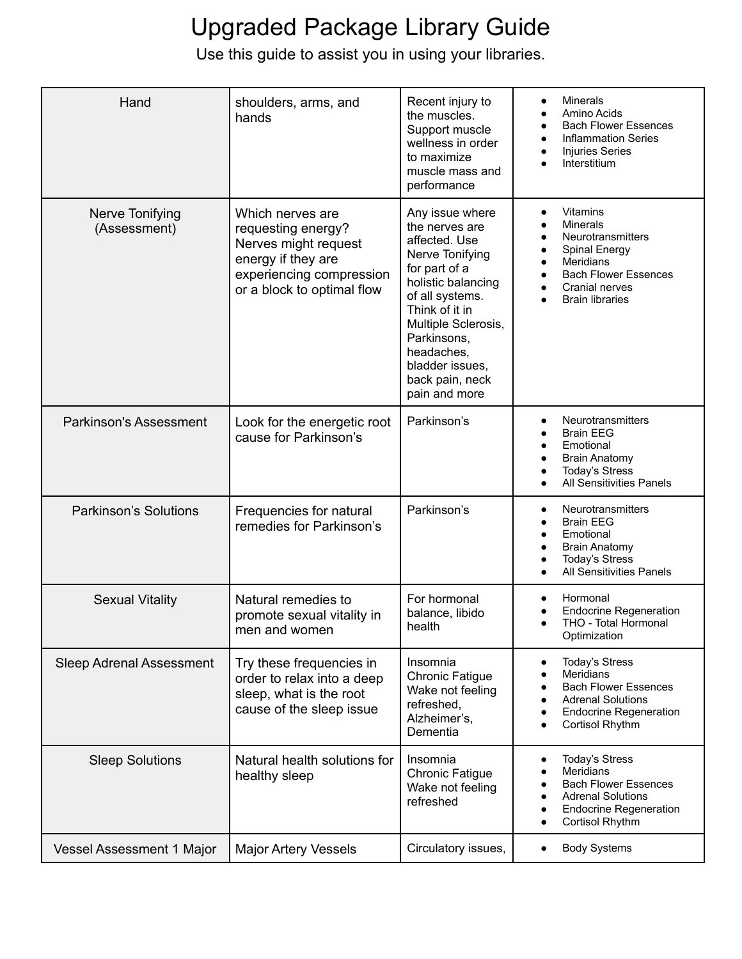| Hand                             | shoulders, arms, and<br>hands                                                                                                                  | Recent injury to<br>the muscles.<br>Support muscle<br>wellness in order<br>to maximize<br>muscle mass and<br>performance                                                                                                                                     | <b>Minerals</b><br>$\bullet$<br>Amino Acids<br><b>Bach Flower Essences</b><br><b>Inflammation Series</b><br><b>Injuries Series</b><br>Interstitium                      |
|----------------------------------|------------------------------------------------------------------------------------------------------------------------------------------------|--------------------------------------------------------------------------------------------------------------------------------------------------------------------------------------------------------------------------------------------------------------|-------------------------------------------------------------------------------------------------------------------------------------------------------------------------|
| Nerve Tonifying<br>(Assessment)  | Which nerves are<br>requesting energy?<br>Nerves might request<br>energy if they are<br>experiencing compression<br>or a block to optimal flow | Any issue where<br>the nerves are<br>affected. Use<br>Nerve Tonifying<br>for part of a<br>holistic balancing<br>of all systems.<br>Think of it in<br>Multiple Sclerosis,<br>Parkinsons,<br>headaches,<br>bladder issues,<br>back pain, neck<br>pain and more | Vitamins<br><b>Minerals</b><br>Neurotransmitters<br><b>Spinal Energy</b><br><b>Meridians</b><br><b>Bach Flower Essences</b><br>Cranial nerves<br><b>Brain libraries</b> |
| Parkinson's Assessment           | Look for the energetic root<br>cause for Parkinson's                                                                                           | Parkinson's                                                                                                                                                                                                                                                  | Neurotransmitters<br>$\bullet$<br><b>Brain EEG</b><br>Emotional<br><b>Brain Anatomy</b><br><b>Today's Stress</b><br><b>All Sensitivities Panels</b>                     |
| <b>Parkinson's Solutions</b>     | Frequencies for natural<br>remedies for Parkinson's                                                                                            | Parkinson's                                                                                                                                                                                                                                                  | Neurotransmitters<br>$\bullet$<br><b>Brain EEG</b><br>Emotional<br><b>Brain Anatomy</b><br><b>Today's Stress</b><br>All Sensitivities Panels                            |
| <b>Sexual Vitality</b>           | Natural remedies to<br>promote sexual vitality in<br>men and women                                                                             | For hormonal<br>balance, libido<br>health                                                                                                                                                                                                                    | Hormonal<br><b>Endocrine Regeneration</b><br>THO - Total Hormonal<br>Optimization                                                                                       |
| <b>Sleep Adrenal Assessment</b>  | Try these frequencies in<br>order to relax into a deep<br>sleep, what is the root<br>cause of the sleep issue                                  | Insomnia<br><b>Chronic Fatigue</b><br>Wake not feeling<br>refreshed,<br>Alzheimer's,<br>Dementia                                                                                                                                                             | <b>Today's Stress</b><br>$\bullet$<br>Meridians<br><b>Bach Flower Essences</b><br><b>Adrenal Solutions</b><br><b>Endocrine Regeneration</b><br>Cortisol Rhythm          |
| <b>Sleep Solutions</b>           | Natural health solutions for<br>healthy sleep                                                                                                  | Insomnia<br><b>Chronic Fatigue</b><br>Wake not feeling<br>refreshed                                                                                                                                                                                          | <b>Today's Stress</b><br>٠<br>Meridians<br><b>Bach Flower Essences</b><br><b>Adrenal Solutions</b><br><b>Endocrine Regeneration</b><br>Cortisol Rhythm<br>٠             |
| <b>Vessel Assessment 1 Major</b> | <b>Major Artery Vessels</b>                                                                                                                    | Circulatory issues,                                                                                                                                                                                                                                          | <b>Body Systems</b>                                                                                                                                                     |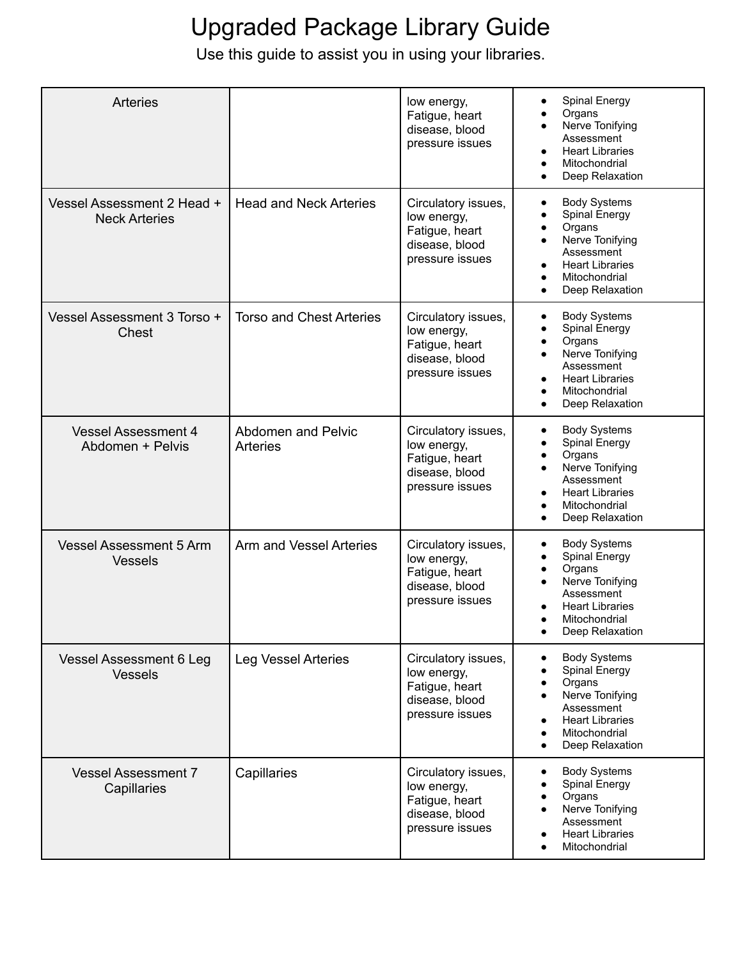| <b>Arteries</b>                                    |                                              | low energy,<br>Fatigue, heart<br>disease, blood<br>pressure issues                        | Spinal Energy<br>Organs<br>Nerve Tonifying<br>Assessment<br><b>Heart Libraries</b><br>$\bullet$<br>Mitochondrial<br>Deep Relaxation                                                                            |
|----------------------------------------------------|----------------------------------------------|-------------------------------------------------------------------------------------------|----------------------------------------------------------------------------------------------------------------------------------------------------------------------------------------------------------------|
| Vessel Assessment 2 Head +<br><b>Neck Arteries</b> | <b>Head and Neck Arteries</b>                | Circulatory issues,<br>low energy,<br>Fatigue, heart<br>disease, blood<br>pressure issues | <b>Body Systems</b><br>$\bullet$<br><b>Spinal Energy</b><br>Organs<br>Nerve Tonifying<br>$\bullet$<br>Assessment<br><b>Heart Libraries</b><br>$\bullet$<br>Mitochondrial<br>Deep Relaxation                    |
| Vessel Assessment 3 Torso +<br>Chest               | <b>Torso and Chest Arteries</b>              | Circulatory issues,<br>low energy,<br>Fatigue, heart<br>disease, blood<br>pressure issues | <b>Body Systems</b><br>$\bullet$<br>Spinal Energy<br>Organs<br>$\bullet$<br>Nerve Tonifying<br>$\bullet$<br>Assessment<br><b>Heart Libraries</b><br>$\bullet$<br>Mitochondrial<br>Deep Relaxation<br>$\bullet$ |
| <b>Vessel Assessment 4</b><br>Abdomen + Pelvis     | <b>Abdomen and Pelvic</b><br><b>Arteries</b> | Circulatory issues,<br>low energy,<br>Fatigue, heart<br>disease, blood<br>pressure issues | <b>Body Systems</b><br>٠<br>Spinal Energy<br>Organs<br>Nerve Tonifying<br>Assessment<br><b>Heart Libraries</b><br>$\bullet$<br>Mitochondrial<br>Deep Relaxation                                                |
| <b>Vessel Assessment 5 Arm</b><br><b>Vessels</b>   | Arm and Vessel Arteries                      | Circulatory issues,<br>low energy,<br>Fatigue, heart<br>disease, blood<br>pressure issues | <b>Body Systems</b><br>$\bullet$<br>Spinal Energy<br>Organs<br>Nerve Tonifying<br>$\bullet$<br>Assessment<br><b>Heart Libraries</b><br>Mitochondrial<br>Deep Relaxation<br>$\bullet$                           |
| Vessel Assessment 6 Leg<br><b>Vessels</b>          | <b>Leg Vessel Arteries</b>                   | Circulatory issues,<br>low energy,<br>Fatigue, heart<br>disease, blood<br>pressure issues | <b>Body Systems</b><br>Spinal Energy<br>Organs<br>Nerve Tonifying<br>$\bullet$<br>Assessment<br><b>Heart Libraries</b><br>$\bullet$<br>Mitochondrial<br>Deep Relaxation<br>$\bullet$                           |
| <b>Vessel Assessment 7</b><br>Capillaries          | Capillaries                                  | Circulatory issues,<br>low energy,<br>Fatigue, heart<br>disease, blood<br>pressure issues | <b>Body Systems</b><br>٠<br>Spinal Energy<br>Organs<br>Nerve Tonifying<br>Assessment<br><b>Heart Libraries</b><br>Mitochondrial                                                                                |